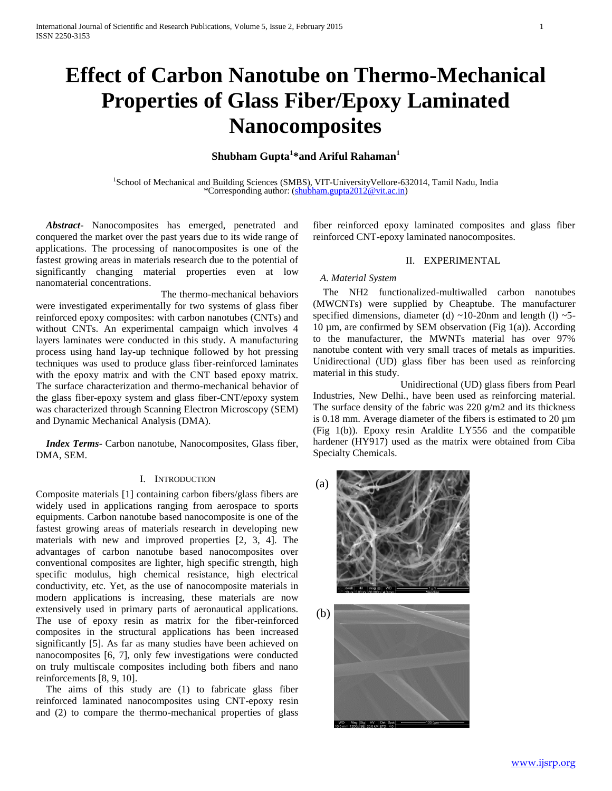# **Effect of Carbon Nanotube on Thermo-Mechanical Properties of Glass Fiber/Epoxy Laminated Nanocomposites**

# **Shubham Gupta<sup>1</sup> \*and Ariful Rahaman<sup>1</sup>**

<sup>1</sup>School of Mechanical and Building Sciences (SMBS), VIT-UniversityVellore-632014, Tamil Nadu, India \*Corresponding author: [\(shubham.gupta2012@vit.ac.in\)](shubham.gupta2012@vit.ac.in)

 *Abstract***-** Nanocomposites has emerged, penetrated and conquered the market over the past years due to its wide range of applications. The processing of nanocomposites is one of the fastest growing areas in materials research due to the potential of significantly changing material properties even at low nanomaterial concentrations.

 The thermo-mechanical behaviors were investigated experimentally for two systems of glass fiber reinforced epoxy composites: with carbon nanotubes (CNTs) and without CNTs. An experimental campaign which involves 4 layers laminates were conducted in this study. A manufacturing process using hand lay-up technique followed by hot pressing techniques was used to produce glass fiber-reinforced laminates with the epoxy matrix and with the CNT based epoxy matrix. The surface characterization and thermo-mechanical behavior of the glass fiber-epoxy system and glass fiber-CNT/epoxy system was characterized through Scanning Electron Microscopy (SEM) and Dynamic Mechanical Analysis (DMA).

 *Index Terms*- Carbon nanotube, Nanocomposites, Glass fiber, DMA, SEM.

# I. INTRODUCTION

Composite materials [1] containing carbon fibers/glass fibers are widely used in applications ranging from aerospace to sports equipments. Carbon nanotube based nanocomposite is one of the fastest growing areas of materials research in developing new materials with new and improved properties [2, 3, 4]. The advantages of carbon nanotube based nanocomposites over conventional composites are lighter, high specific strength, high specific modulus, high chemical resistance, high electrical conductivity, etc. Yet, as the use of nanocomposite materials in modern applications is increasing, these materials are now extensively used in primary parts of aeronautical applications. The use of epoxy resin as matrix for the fiber-reinforced composites in the structural applications has been increased significantly [5]. As far as many studies have been achieved on nanocomposites [6, 7], only few investigations were conducted on truly multiscale composites including both fibers and nano reinforcements [8, 9, 10].

 The aims of this study are (1) to fabricate glass fiber reinforced laminated nanocomposites using CNT-epoxy resin and (2) to compare the thermo-mechanical properties of glass

fiber reinforced epoxy laminated composites and glass fiber reinforced CNT-epoxy laminated nanocomposites.

### II. EXPERIMENTAL

## *A. Material System*

 The NH2 functionalized-multiwalled carbon nanotubes (MWCNTs) were supplied by Cheaptube. The manufacturer specified dimensions, diameter (d)  $\sim$ 10-20nm and length (l)  $\sim$ 5-10  $\mu$ m, are confirmed by SEM observation (Fig 1(a)). According to the manufacturer, the MWNTs material has over 97% nanotube content with very small traces of metals as impurities. Unidirectional (UD) glass fiber has been used as reinforcing material in this study.

 Unidirectional (UD) glass fibers from Pearl Industries, New Delhi., have been used as reinforcing material. The surface density of the fabric was 220 g/m2 and its thickness is 0.18 mm. Average diameter of the fibers is estimated to 20 µm (Fig 1(b)). Epoxy resin Araldite LY556 and the compatible hardener (HY917) used as the matrix were obtained from Ciba Specialty Chemicals.



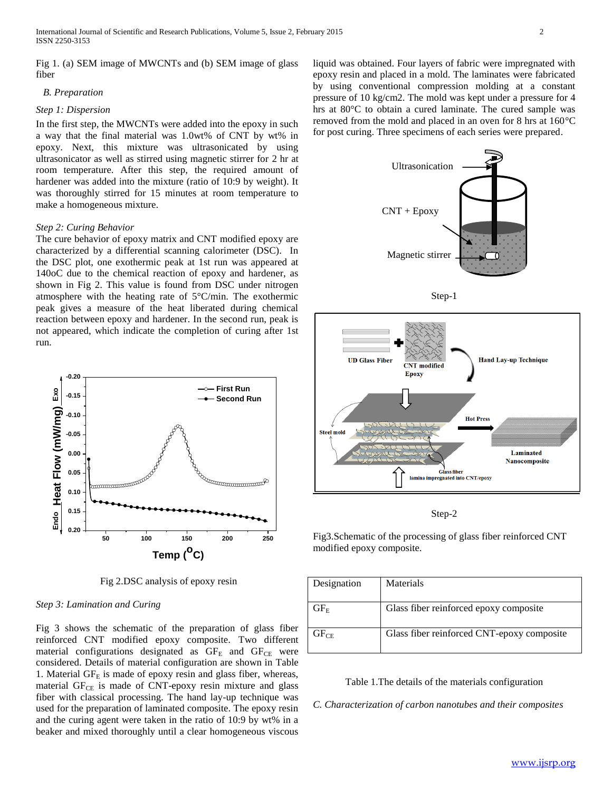Fig 1. (a) SEM image of MWCNTs and (b) SEM image of glass fiber

#### *B. Preparation*

### *Step 1: Dispersion*

In the first step, the MWCNTs were added into the epoxy in such a way that the final material was 1.0wt% of CNT by wt% in epoxy. Next, this mixture was ultrasonicated by using ultrasonicator as well as stirred using magnetic stirrer for 2 hr at room temperature. After this step, the required amount of hardener was added into the mixture (ratio of 10:9 by weight). It was thoroughly stirred for 15 minutes at room temperature to make a homogeneous mixture.

### *Step 2: Curing Behavior*

The cure behavior of epoxy matrix and CNT modified epoxy are characterized by a differential scanning calorimeter (DSC). In the DSC plot, one exothermic peak at 1st run was appeared at 140oC due to the chemical reaction of epoxy and hardener, as shown in Fig 2. This value is found from DSC under nitrogen atmosphere with the heating rate of 5°C/min. The exothermic peak gives a measure of the heat liberated during chemical reaction between epoxy and hardener. In the second run, peak is not appeared, which indicate the completion of curing after 1st run.



Fig 2.DSC analysis of epoxy resin

### *Step 3: Lamination and Curing*

Fig 3 shows the schematic of the preparation of glass fiber reinforced CNT modified epoxy composite. Two different material configurations designated as  $GF_E$  and  $GF_{CE}$  were considered. Details of material configuration are shown in Table 1. Material  $GF_E$  is made of epoxy resin and glass fiber, whereas, material  $GF_{CE}$  is made of CNT-epoxy resin mixture and glass fiber with classical processing. The hand lay-up technique was used for the preparation of laminated composite. The epoxy resin and the curing agent were taken in the ratio of 10:9 by wt% in a beaker and mixed thoroughly until a clear homogeneous viscous

liquid was obtained. Four layers of fabric were impregnated with epoxy resin and placed in a mold. The laminates were fabricated by using conventional compression molding at a constant pressure of 10 kg/cm2. The mold was kept under a pressure for 4 hrs at 80°C to obtain a cured laminate. The cured sample was removed from the mold and placed in an oven for 8 hrs at 160°C for post curing. Three specimens of each series were prepared.





Step-2

Fig3.Schematic of the processing of glass fiber reinforced CNT modified epoxy composite.

| Designation | Materials                                  |
|-------------|--------------------------------------------|
| $GF_{E}$    | Glass fiber reinforced epoxy composite     |
| $GF_{CF}$   | Glass fiber reinforced CNT-epoxy composite |

Table 1.The details of the materials configuration

*C. Characterization of carbon nanotubes and their composites*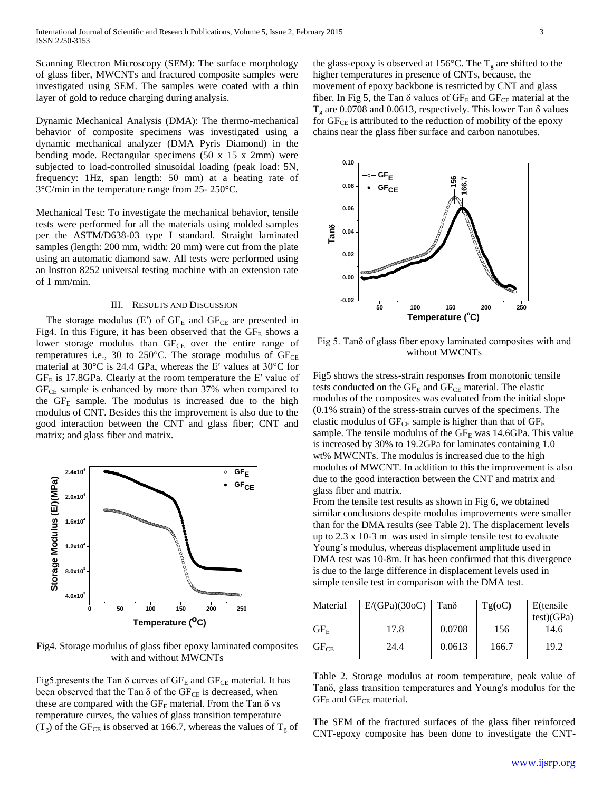Scanning Electron Microscopy (SEM): The surface morphology of glass fiber, MWCNTs and fractured composite samples were investigated using SEM. The samples were coated with a thin layer of gold to reduce charging during analysis.

Dynamic Mechanical Analysis (DMA): The thermo-mechanical behavior of composite specimens was investigated using a dynamic mechanical analyzer (DMA Pyris Diamond) in the bending mode. Rectangular specimens (50 x 15 x 2mm) were subjected to load-controlled sinusoidal loading (peak load: 5N, frequency: 1Hz, span length: 50 mm) at a heating rate of 3°C/min in the temperature range from 25- 250°C.

Mechanical Test: To investigate the mechanical behavior, tensile tests were performed for all the materials using molded samples per the ASTM/D638-03 type I standard. Straight laminated samples (length: 200 mm, width: 20 mm) were cut from the plate using an automatic diamond saw. All tests were performed using an Instron 8252 universal testing machine with an extension rate of 1 mm/min.

#### III. RESULTS AND DISCUSSION

The storage modulus (E') of  $GF_E$  and  $GF_{CE}$  are presented in Fig4. In this Figure, it has been observed that the  $GF_E$  shows a lower storage modulus than  $GF_{CE}$  over the entire range of temperatures i.e., 30 to 250°C. The storage modulus of  $GF_{CE}$ material at 30°C is 24.4 GPa, whereas the E′ values at 30°C for  $GF_E$  is 17.8GPa. Clearly at the room temperature the E' value of  $GF<sub>CE</sub>$  sample is enhanced by more than 37% when compared to the  $GF_E$  sample. The modulus is increased due to the high modulus of CNT. Besides this the improvement is also due to the good interaction between the CNT and glass fiber; CNT and matrix; and glass fiber and matrix.



Fig4. Storage modulus of glass fiber epoxy laminated composites with and without MWCNTs

Fig5.presents the Tan  $\delta$  curves of  $GF_E$  and  $GF_{CE}$  material. It has been observed that the Tan  $\delta$  of the GF<sub>CE</sub> is decreased, when these are compared with the  $GF_E$  material. From the Tan  $\delta$  vs temperature curves, the values of glass transition temperature  $(T_g)$  of the GF<sub>CE</sub> is observed at 166.7, whereas the values of  $T_g$  of the glass-epoxy is observed at 156 $\degree$ C. The T<sub>g</sub> are shifted to the higher temperatures in presence of CNTs, because, the movement of epoxy backbone is restricted by CNT and glass fiber. In Fig 5, the Tan  $\delta$  values of  $GF_E$  and  $GF_{CE}$  material at the  $T<sub>g</sub>$  are 0.0708 and 0.0613, respectively. This lower Tan  $\delta$  values for  $GF_{CE}$  is attributed to the reduction of mobility of the epoxy chains near the glass fiber surface and carbon nanotubes.



Fig 5. Tanδ of glass fiber epoxy laminated composites with and without MWCNTs

Fig5 shows the stress-strain responses from monotonic tensile tests conducted on the  $GF_E$  and  $GF_{CE}$  material. The elastic modulus of the composites was evaluated from the initial slope (0.1% strain) of the stress-strain curves of the specimens. The elastic modulus of  $GF_{CE}$  sample is higher than that of  $GF_{E}$ sample. The tensile modulus of the  $GF_E$  was 14.6GPa. This value is increased by 30% to 19.2GPa for laminates containing 1.0 wt% MWCNTs. The modulus is increased due to the high modulus of MWCNT. In addition to this the improvement is also due to the good interaction between the CNT and matrix and glass fiber and matrix.

From the tensile test results as shown in Fig 6, we obtained similar conclusions despite modulus improvements were smaller than for the DMA results (see Table 2). The displacement levels up to 2.3 x 10-3 m was used in simple tensile test to evaluate Young's modulus, whereas displacement amplitude used in DMA test was 10-8m. It has been confirmed that this divergence is due to the large difference in displacement levels used in simple tensile test in comparison with the DMA test.

| Material           | E/(GPa)(30oC) | Tanδ   | Tg(oC) | E(tensile  |
|--------------------|---------------|--------|--------|------------|
|                    |               |        |        | test)(GPa) |
| $\rm{GF}_{\rm{F}}$ | 17.8          | 0.0708 | 156    | 14.6       |
| $GF_{\rm CE}$      | 24.4          | 0.0613 | 166.7  | 19.2       |

Table 2. Storage modulus at room temperature, peak value of Tanδ, glass transition temperatures and Young's modulus for the  $GF_E$  and  $GF_{CE}$  material.

The SEM of the fractured surfaces of the glass fiber reinforced CNT-epoxy composite has been done to investigate the CNT-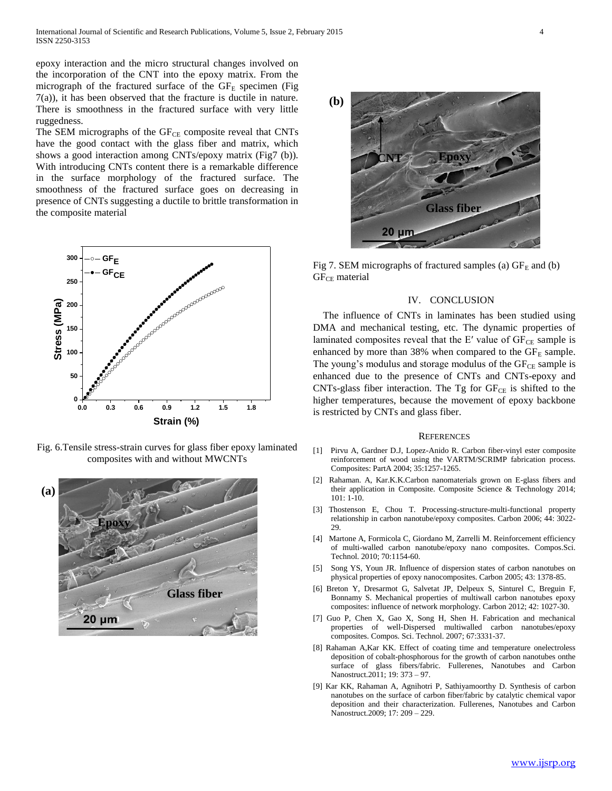epoxy interaction and the micro structural changes involved on the incorporation of the CNT into the epoxy matrix. From the micrograph of the fractured surface of the  $GF_E$  specimen (Fig. 7(a)), it has been observed that the fracture is ductile in nature. There is smoothness in the fractured surface with very little ruggedness.

The SEM micrographs of the GF<sub>CE</sub> composite reveal that CNTs have the good contact with the glass fiber and matrix, which shows a good interaction among CNTs/epoxy matrix (Fig7 (b)). With introducing CNTs content there is a remarkable difference in the surface morphology of the fractured surface. The smoothness of the fractured surface goes on decreasing in presence of CNTs suggesting a ductile to brittle transformation in the composite material



Fig. 6.Tensile stress-strain curves for glass fiber epoxy laminated composites with and without MWCNTs





Fig 7. SEM micrographs of fractured samples (a)  $GF_E$  and (b)  $GF<sub>CE</sub> material$ 

#### IV. CONCLUSION

The influence of CNTs in laminates has been studied using DMA and mechanical testing, etc. The dynamic properties of laminated composites reveal that the E' value of  $GF_{CE}$  sample is enhanced by more than 38% when compared to the  $GF_E$  sample. The young's modulus and storage modulus of the  $GF_{CE}$  sample is enhanced due to the presence of CNTs and CNTs-epoxy and CNTs-glass fiber interaction. The Tg for  $GF_{CE}$  is shifted to the higher temperatures, because the movement of epoxy backbone is restricted by CNTs and glass fiber.

#### **REFERENCES**

- [1] Pirvu A, Gardner D.J, Lopez-Anido R. Carbon fiber-vinyl ester composite reinforcement of wood using the VARTM/SCRIMP fabrication process. Composites: PartA 2004; 35:1257-1265.
- [2] Rahaman. A, Kar.K.K.Carbon nanomaterials grown on E-glass fibers and their application in Composite. Composite Science & Technology 2014; 101: 1-10.
- [3] Thostenson E, Chou T. Processing-structure-multi-functional property relationship in carbon nanotube/epoxy composites. Carbon 2006; 44: 3022- 29.
- [4] Martone A, Formicola C, Giordano M, Zarrelli M. Reinforcement efficiency of multi-walled carbon nanotube/epoxy nano composites. Compos.Sci. Technol. 2010; 70:1154-60.
- [5] Song YS, Youn JR. Influence of dispersion states of carbon nanotubes on physical properties of epoxy nanocomposites. Carbon 2005; 43: 1378-85.
- [6] Breton Y, Dresarmot G, Salvetat JP, Delpeux S, Sinturel C, Breguin F, Bonnamy S. Mechanical properties of multiwall carbon nanotubes epoxy composites: influence of network morphology. Carbon 2012; 42: 1027-30.
- [7] Guo P, Chen X, Gao X, Song H, Shen H. Fabrication and mechanical properties of well-Dispersed multiwalled carbon nanotubes/epoxy composites. Compos. Sci. Technol. 2007; 67:3331-37.
- [8] Rahaman A,Kar KK. Effect of coating time and temperature onelectroless deposition of cobalt-phosphorous for the growth of carbon nanotubes onthe surface of glass fibers/fabric. Fullerenes, Nanotubes and Carbon Nanostruct.2011; 19: 373 – 97.
- [9] Kar KK, Rahaman A, Agnihotri P, Sathiyamoorthy D. Synthesis of carbon nanotubes on the surface of carbon fiber/fabric by catalytic chemical vapor deposition and their characterization. Fullerenes, Nanotubes and Carbon Nanostruct.2009; 17: 209 – 229.